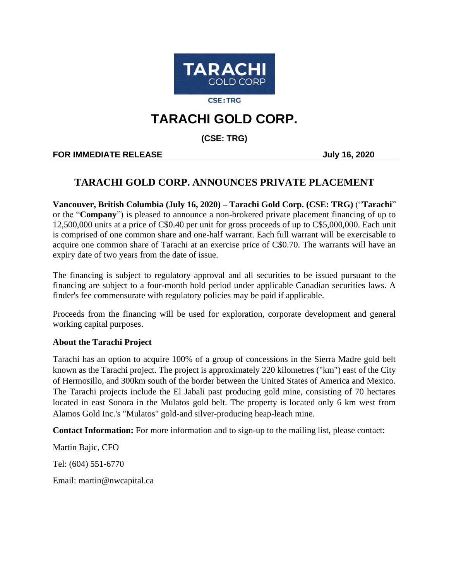

**CSE:TRG** 

# **TARACHI GOLD CORP.**

**(CSE: TRG)**

## **FOR IMMEDIATE RELEASE IN A 2020** July 16, 2020

# **TARACHI GOLD CORP. ANNOUNCES PRIVATE PLACEMENT**

**Vancouver, British Columbia (July 16, 2020) – Tarachi Gold Corp. (CSE: TRG)** ("**Tarachi**" or the "**Company**") is pleased to announce a non-brokered private placement financing of up to 12,500,000 units at a price of C\$0.40 per unit for gross proceeds of up to C\$5,000,000. Each unit is comprised of one common share and one-half warrant. Each full warrant will be exercisable to acquire one common share of Tarachi at an exercise price of C\$0.70. The warrants will have an expiry date of two years from the date of issue.

The financing is subject to regulatory approval and all securities to be issued pursuant to the financing are subject to a four-month hold period under applicable Canadian securities laws. A finder's fee commensurate with regulatory policies may be paid if applicable.

Proceeds from the financing will be used for exploration, corporate development and general working capital purposes.

## **About the Tarachi Project**

Tarachi has an option to acquire 100% of a group of concessions in the Sierra Madre gold belt known as the Tarachi project. The project is approximately 220 kilometres ("km") east of the City of Hermosillo, and 300km south of the border between the United States of America and Mexico. The Tarachi projects include the El Jabali past producing gold mine, consisting of 70 hectares located in east Sonora in the Mulatos gold belt. The property is located only 6 km west from Alamos Gold Inc.'s "Mulatos" gold-and silver-producing heap-leach mine.

**Contact Information:** For more information and to sign-up to the mailing list, please contact:

Martin Bajic, CFO Tel: (604) 551-6770 Email: martin@nwcapital.ca